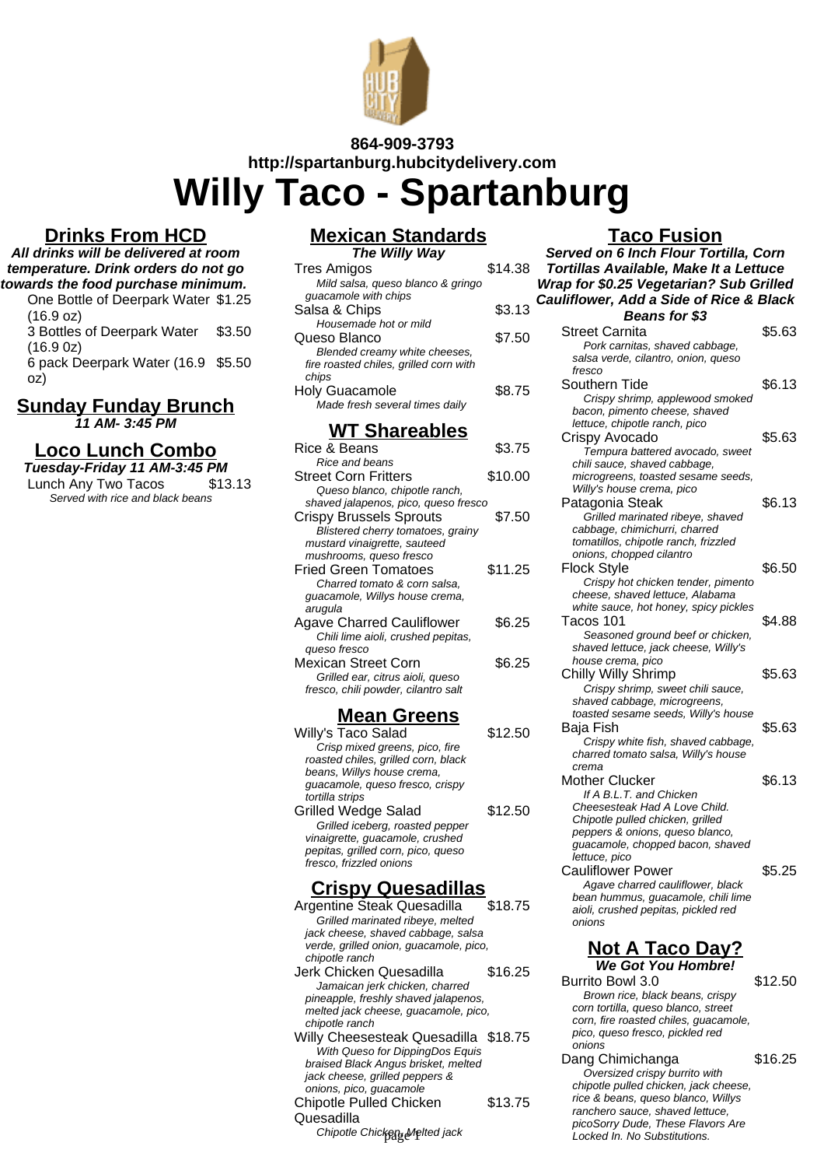

## **864-909-3793**

**http://spartanburg.hubcitydelivery.com**

**Willy Taco - Spartanburg**

### **Drinks From HCD**

### **All drinks will be delivered at room temperature. Drink orders do not go towards the food purchase minimum.**

One Bottle of Deerpark Water \$1.25 (16.9 oz) 3 Bottles of Deerpark Water (16.9 0z) \$3.50

6 pack Deerpark Water (16.9 \$5.50 oz)

### **Sunday Funday Brunch 11 AM- 3:45 PM**

## **Loco Lunch Combo**

| Tuesday-Friday 11 AM-3:45 PM     |         |
|----------------------------------|---------|
| Lunch Any Two Tacos              | \$13.13 |
| Served with rice and black beans |         |

#### **Mexican Standards The Willy Way**

| <i><b>The Willy Way</b></i>            |         |
|----------------------------------------|---------|
| Tres Amigos                            | \$14.38 |
| Mild salsa, queso blanco & gringo      |         |
| quacamole with chips                   |         |
| Salsa & Chips                          | \$3.13  |
| Housemade hot or mild                  |         |
| Queso Blanco                           | \$7.50  |
| Blended creamy white cheeses,          |         |
| fire roasted chiles, grilled corn with |         |
| chips                                  |         |
| <b>Holy Guacamole</b>                  | \$8.75  |
| Made fresh several times daily         |         |
| <b>WT Shareables</b>                   |         |
| Rice & Beans                           | ደ3 75   |

#### 8.75 Rice and beans Street Corn Fritters \$10.00 Queso blanco, chipotle ranch, shaved jalapenos, pico, queso fresco Crispy Brussels Sprouts \$7.50 Blistered cherry tomatoes, grainy mustard vinaigrette, sauteed mushrooms, queso fresco Fried Green Tomatoes \$11.25 Charred tomato & corn salsa, guacamole, Willys house crema, arugula Agave Charred Cauliflower \$6.25 Chili lime aioli, crushed pepitas, queso fresco Mexican Street Corn \$6.25 Grilled ear, citrus aioli, queso fresco, chili powder, cilantro salt

### **Mean Greens**

| Willy's Taco Salad                  | \$12.50 |
|-------------------------------------|---------|
| Crisp mixed greens, pico, fire      |         |
| roasted chiles, grilled corn, black |         |
| beans, Willys house crema,          |         |
| quacamole, queso fresco, crispy     |         |
| tortilla strips                     |         |
| <b>Grilled Wedge Salad</b>          | \$12.50 |
| Grilled iceberg, roasted pepper     |         |
| vinaigrette, guacamole, crushed     |         |
| pepitas, grilled corn, pico, queso  |         |
| fresco, frizzled onions             |         |

## **Crispy Quesadillas**

Argentine Steak Quesadilla \$18.75 Grilled marinated ribeye, melted jack cheese, shaved cabbage, salsa verde, grilled onion, guacamole, pico, chipotle ranch Jerk Chicken Quesadilla \$16.25 Jamaican jerk chicken, charred pineapple, freshly shaved jalapenos, melted jack cheese, guacamole, pico, chipotle ranch Willy Cheesesteak Quesadilla \$18.75 With Queso for DippingDos Equis braised Black Angus brisket, melted jack cheese, grilled peppers & onions, pico, guacamole Chipotle Pulled Chicken Quesadilla \$13.75 Chipotle Chicken, Melted jack

## **Taco Fusion**

**Served on 6 Inch Flour Tortilla, Corn Tortillas Available, Make It a Lettuce Wrap for \$0.25 Vegetarian? Sub Grilled Cauliflower, Add a Side of Rice & Black Beans for \$3** Street Carnita **\$5.63** Pork carnitas, shaved cabbage, salsa verde, cilantro, onion, que

| saisa verue, cilaritro, orllori, queso |        |
|----------------------------------------|--------|
| fresco                                 |        |
| Southern Tide                          | \$6.13 |
| Crispy shrimp, applewood smoked        |        |
| bacon, pimento cheese, shaved          |        |
| lettuce, chipotle ranch, pico          |        |
| Crispy Avocado                         | \$5.63 |
| Tempura battered avocado, sweet        |        |
| chili sauce, shaved cabbage,           |        |
| microgreens, toasted sesame seeds,     |        |
| Willy's house crema, pico              |        |
| Patagonia Steak                        | \$6.13 |
| Grilled marinated ribeye, shaved       |        |
| cabbage, chimichurri, charred          |        |
| tomatillos, chipotle ranch, frizzled   |        |
| onions, chopped cilantro               |        |
| Flock Style                            | \$6.50 |
| Crispy hot chicken tender, pimento     |        |
| cheese, shaved lettuce, Alabama        |        |
| white sauce, hot honey, spicy pickles  |        |
| Tacos 101                              | \$4.88 |
| Seasoned ground beef or chicken,       |        |
| shaved lettuce, jack cheese, Willy's   |        |
| house crema, pico                      |        |
| <b>Chilly Willy Shrimp</b>             | \$5.63 |
| Crispy shrimp, sweet chili sauce,      |        |
| shaved cabbage, microgreens,           |        |
| toasted sesame seeds, Willy's house    |        |
| Baja Fish                              | \$5.63 |
| Crispy white fish, shaved cabbage,     |        |
| charred tomato salsa, Willy's house    |        |
| crema                                  |        |
| Mother Clucker                         | \$6.13 |
| If A B.L.T. and Chicken                |        |
| Cheesesteak Had A Love Child.          |        |
| Chipotle pulled chicken, grilled       |        |
| nara 0 aniana amana hian               |        |

peppers & onions, queso blanco, quacamole, chopped bacon, shaved lettuce, pico

Cauliflower Power **\$5.25** Agave charred cauliflower, black bean hummus, guacamole, chili lime aioli, crushed pepitas, pickled red onions

### **Not A Taco Day? We Got You Hombre!**

Burrito Bowl 3.0 \$12.50 Brown rice, black beans, crispy corn tortilla, queso blanco, street corn, fire roasted chiles, guacamole, pico, queso fresco, pickled red onions

Dang Chimichanga \$16.25 Oversized crispy burrito with chipotle pulled chicken, jack cheese, rice & beans, queso blanco, Willys ranchero sauce, shaved lettuce, picoSorry Dude, These Flavors Are Locked In. No Substitutions.